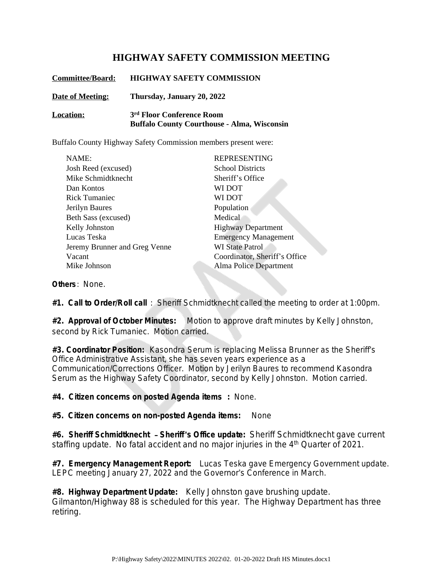## **HIGHWAY SAFETY COMMISSION MEETING**

| <b>Committee/Board:</b> | <b>HIGHWAY SAFETY COMMISSION</b>                                                            |
|-------------------------|---------------------------------------------------------------------------------------------|
| Date of Meeting:        | Thursday, January 20, 2022                                                                  |
| <b>Location:</b>        | 3 <sup>rd</sup> Floor Conference Room<br><b>Buffalo County Courthouse - Alma, Wisconsin</b> |

Buffalo County Highway Safety Commission members present were:

| NAME:                         | <b>REPRESENTING</b>           |
|-------------------------------|-------------------------------|
| Josh Reed (excused)           | <b>School Districts</b>       |
| Mike Schmidtknecht            | Sheriff's Office              |
| Dan Kontos                    | WI DOT                        |
| Rick Tumaniec                 | WI DOT                        |
| Jerilyn Baures                | Population                    |
| Beth Sass (excused)           | Medical                       |
| Kelly Johnston                | <b>Highway Department</b>     |
| Lucas Teska                   | <b>Emergency Management</b>   |
| Jeremy Brunner and Greg Venne | <b>WI State Patrol</b>        |
| Vacant                        | Coordinator, Sheriff's Office |
| Mike Johnson                  | Alma Police Department        |
|                               |                               |

**Others**: None.

**#1. Call to Order/Roll call** : Sheriff Schmidtknecht called the meeting to order at 1:00pm.

**#2. Approval of October Minutes:** Motion to approve draft minutes by Kelly Johnston, second by Rick Tumaniec. Motion carried.

**#3. Coordinator Position:** Kasondra Serum is replacing Melissa Brunner as the Sheriff's Office Administrative Assistant, she has seven years experience as a Communication/Corrections Officer. Motion by Jerilyn Baures to recommend Kasondra Serum as the Highway Safety Coordinator, second by Kelly Johnston. Motion carried.

**#4. Citizen concerns on posted Agenda items :** None.

**#5. Citizen concerns on non-posted Agenda items:** None

**#6. Sheriff Schmidtknecht** – **Sheriff**'**s Office update:** Sheriff Schmidtknecht gave current staffing update. No fatal accident and no major injuries in the 4<sup>th</sup> Quarter of 2021.

**#7. Emergency Management Report:** Lucas Teska gave Emergency Government update. LEPC meeting January 27, 2022 and the Governor's Conference in March.

**#8. Highway Department Update:** Kelly Johnston gave brushing update. Gilmanton/Highway 88 is scheduled for this year. The Highway Department has three retiring.